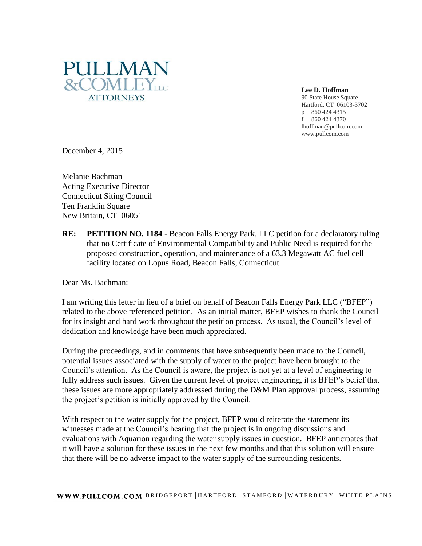

**Lee D. Hoffman**

90 State House Square Hartford, CT 06103-3702 p 860 424 4315 f 860 424 4370 lhoffman@pullcom.com www.pullcom.com

December 4, 2015

Melanie Bachman Acting Executive Director Connecticut Siting Council Ten Franklin Square New Britain, CT 06051

**RE: PETITION NO. 1184** - Beacon Falls Energy Park, LLC petition for a declaratory ruling that no Certificate of Environmental Compatibility and Public Need is required for the proposed construction, operation, and maintenance of a 63.3 Megawatt AC fuel cell facility located on Lopus Road, Beacon Falls, Connecticut.

Dear Ms. Bachman:

I am writing this letter in lieu of a brief on behalf of Beacon Falls Energy Park LLC ("BFEP") related to the above referenced petition. As an initial matter, BFEP wishes to thank the Council for its insight and hard work throughout the petition process. As usual, the Council's level of dedication and knowledge have been much appreciated.

During the proceedings, and in comments that have subsequently been made to the Council, potential issues associated with the supply of water to the project have been brought to the Council's attention. As the Council is aware, the project is not yet at a level of engineering to fully address such issues. Given the current level of project engineering, it is BFEP's belief that these issues are more appropriately addressed during the D&M Plan approval process, assuming the project's petition is initially approved by the Council.

With respect to the water supply for the project, BFEP would reiterate the statement its witnesses made at the Council's hearing that the project is in ongoing discussions and evaluations with Aquarion regarding the water supply issues in question. BFEP anticipates that it will have a solution for these issues in the next few months and that this solution will ensure that there will be no adverse impact to the water supply of the surrounding residents.